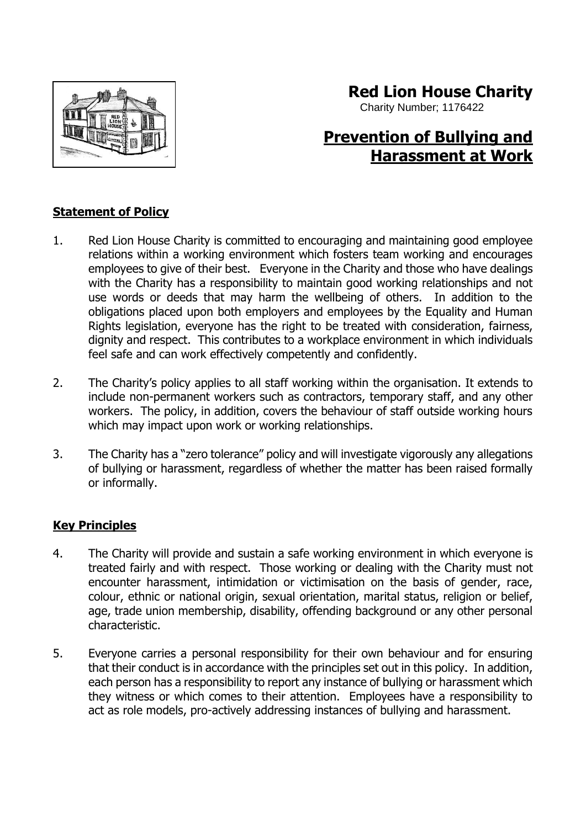

# **Red Lion House Charity**

Charity Number; 1176422

# **Prevention of Bullying and Harassment at Work**

## **Statement of Policy**

- 1. Red Lion House Charity is committed to encouraging and maintaining good employee relations within a working environment which fosters team working and encourages employees to give of their best. Everyone in the Charity and those who have dealings with the Charity has a responsibility to maintain good working relationships and not use words or deeds that may harm the wellbeing of others. In addition to the obligations placed upon both employers and employees by the Equality and Human Rights legislation, everyone has the right to be treated with consideration, fairness, dignity and respect. This contributes to a workplace environment in which individuals feel safe and can work effectively competently and confidently.
- 2. The Charity's policy applies to all staff working within the organisation. It extends to include non-permanent workers such as contractors, temporary staff, and any other workers. The policy, in addition, covers the behaviour of staff outside working hours which may impact upon work or working relationships.
- 3. The Charity has a "zero tolerance" policy and will investigate vigorously any allegations of bullying or harassment, regardless of whether the matter has been raised formally or informally.

### **Key Principles**

- 4. The Charity will provide and sustain a safe working environment in which everyone is treated fairly and with respect. Those working or dealing with the Charity must not encounter harassment, intimidation or victimisation on the basis of gender, race, colour, ethnic or national origin, sexual orientation, marital status, religion or belief. age, trade union membership, disability, offending background or any other personal characteristic.
- 5. Everyone carries a personal responsibility for their own behaviour and for ensuring that their conduct is in accordance with the principles set out in this policy. In addition, each person has a responsibility to report any instance of bullying or harassment which they witness or which comes to their attention. Employees have a responsibility to act as role models, pro-actively addressing instances of bullying and harassment.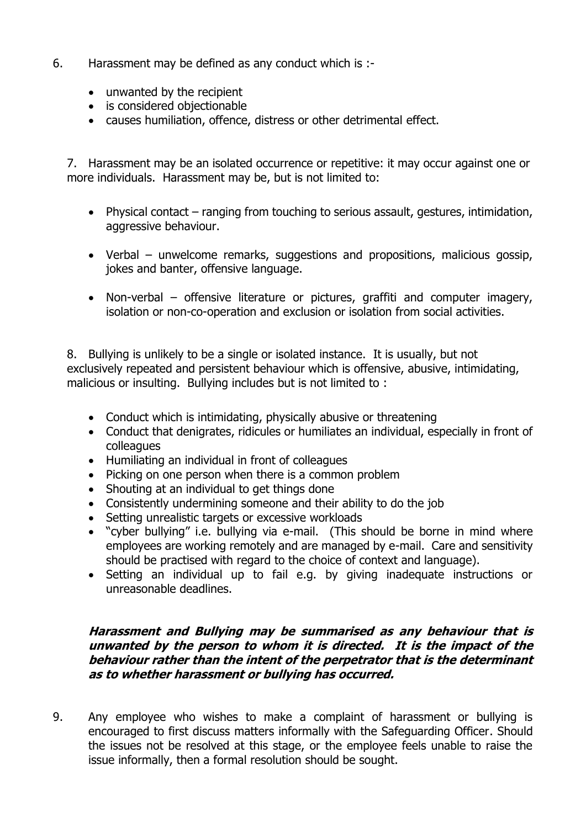- 6. Harassment may be defined as any conduct which is :-
	- unwanted by the recipient
	- is considered objectionable
	- causes humiliation, offence, distress or other detrimental effect.

7. Harassment may be an isolated occurrence or repetitive: it may occur against one or more individuals. Harassment may be, but is not limited to:

- Physical contact ranging from touching to serious assault, gestures, intimidation, aggressive behaviour.
- Verbal unwelcome remarks, suggestions and propositions, malicious gossip, jokes and banter, offensive language.
- Non-verbal offensive literature or pictures, graffiti and computer imagery, isolation or non-co-operation and exclusion or isolation from social activities.

8. Bullying is unlikely to be a single or isolated instance. It is usually, but not exclusively repeated and persistent behaviour which is offensive, abusive, intimidating, malicious or insulting. Bullying includes but is not limited to :

- Conduct which is intimidating, physically abusive or threatening
- Conduct that denigrates, ridicules or humiliates an individual, especially in front of colleagues
- Humiliating an individual in front of colleagues
- Picking on one person when there is a common problem
- Shouting at an individual to get things done
- Consistently undermining someone and their ability to do the job
- Setting unrealistic targets or excessive workloads
- "cyber bullying" i.e. bullying via e-mail. (This should be borne in mind where employees are working remotely and are managed by e-mail. Care and sensitivity should be practised with regard to the choice of context and language).
- Setting an individual up to fail e.g. by giving inadequate instructions or unreasonable deadlines.

#### **Harassment and Bullying may be summarised as any behaviour that is unwanted by the person to whom it is directed. It is the impact of the behaviour rather than the intent of the perpetrator that is the determinant as to whether harassment or bullying has occurred.**

9. Any employee who wishes to make a complaint of harassment or bullying is encouraged to first discuss matters informally with the Safeguarding Officer. Should the issues not be resolved at this stage, or the employee feels unable to raise the issue informally, then a formal resolution should be sought.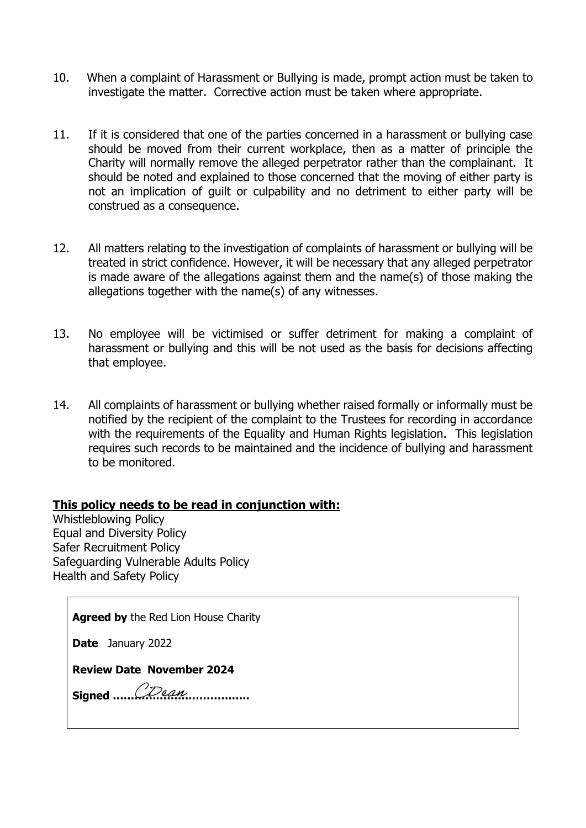- 10. When a complaint of Harassment or Bullying is made, prompt action must be taken to investigate the matter. Corrective action must be taken where appropriate.
- 11. If it is considered that one of the parties concerned in a harassment or bullying case should be moved from their current workplace, then as a matter of principle the Charity will normally remove the alleged perpetrator rather than the complainant. It should be noted and explained to those concerned that the moving of either party is not an implication of guilt or culpability and no detriment to either party will be construed as a consequence.
- 12. All matters relating to the investigation of complaints of harassment or bullying will be treated in strict confidence. However, it will be necessary that any alleged perpetrator is made aware of the allegations against them and the name(s) of those making the allegations together with the name(s) of any witnesses.
- 13. No employee will be victimised or suffer detriment for making a complaint of harassment or bullying and this will be not used as the basis for decisions affecting that employee.
- 14. All complaints of harassment or bullying whether raised formally or informally must be notified by the recipient of the complaint to the Trustees for recording in accordance with the requirements of the Equality and Human Rights legislation. This legislation requires such records to be maintained and the incidence of bullying and harassment to be monitored.

### **This policy needs to be read in conjunction with:**

Whistleblowing Policy Equal and Diversity Policy Safer Recruitment Policy Safeguarding Vulnerable Adults Policy Health and Safety Policy

**Agreed by** the Red Lion House Charity

**Date** January 2022

**Review Date November 2024**

**Signed ………………………………..**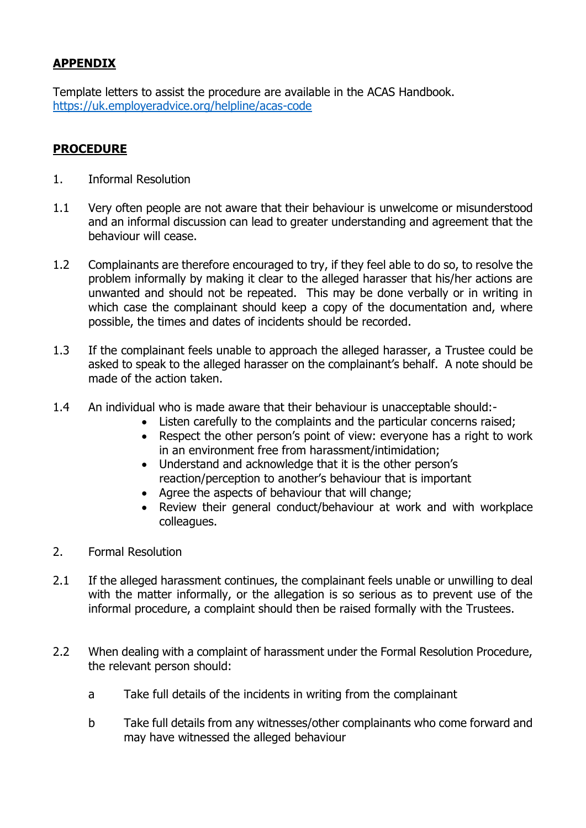# **APPENDIX**

Template letters to assist the procedure are available in the ACAS Handbook. <https://uk.employeradvice.org/helpline/acas-code>

## **PROCEDURE**

- 1. Informal Resolution
- 1.1 Very often people are not aware that their behaviour is unwelcome or misunderstood and an informal discussion can lead to greater understanding and agreement that the behaviour will cease.
- 1.2 Complainants are therefore encouraged to try, if they feel able to do so, to resolve the problem informally by making it clear to the alleged harasser that his/her actions are unwanted and should not be repeated. This may be done verbally or in writing in which case the complainant should keep a copy of the documentation and, where possible, the times and dates of incidents should be recorded.
- 1.3 If the complainant feels unable to approach the alleged harasser, a Trustee could be asked to speak to the alleged harasser on the complainant's behalf. A note should be made of the action taken.
- 1.4 An individual who is made aware that their behaviour is unacceptable should:-
	- Listen carefully to the complaints and the particular concerns raised;
	- Respect the other person's point of view: everyone has a right to work in an environment free from harassment/intimidation;
	- Understand and acknowledge that it is the other person's reaction/perception to another's behaviour that is important
	- Agree the aspects of behaviour that will change;
	- Review their general conduct/behaviour at work and with workplace colleagues.
- 2. Formal Resolution
- 2.1 If the alleged harassment continues, the complainant feels unable or unwilling to deal with the matter informally, or the allegation is so serious as to prevent use of the informal procedure, a complaint should then be raised formally with the Trustees.
- 2.2 When dealing with a complaint of harassment under the Formal Resolution Procedure, the relevant person should:
	- a Take full details of the incidents in writing from the complainant
	- b Take full details from any witnesses/other complainants who come forward and may have witnessed the alleged behaviour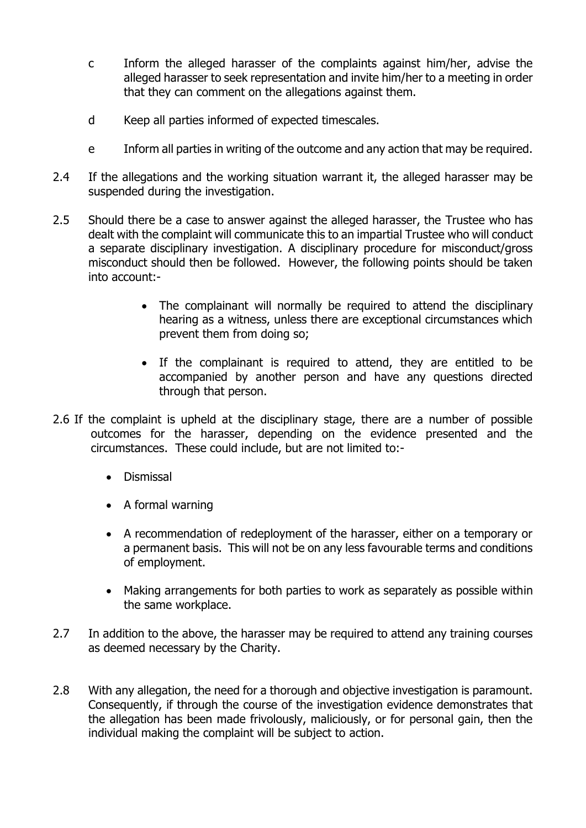- c Inform the alleged harasser of the complaints against him/her, advise the alleged harasser to seek representation and invite him/her to a meeting in order that they can comment on the allegations against them.
- d Keep all parties informed of expected timescales.
- e Inform all parties in writing of the outcome and any action that may be required.
- 2.4 If the allegations and the working situation warrant it, the alleged harasser may be suspended during the investigation.
- 2.5 Should there be a case to answer against the alleged harasser, the Trustee who has dealt with the complaint will communicate this to an impartial Trustee who will conduct a separate disciplinary investigation. A disciplinary procedure for misconduct/gross misconduct should then be followed. However, the following points should be taken into account:-
	- The complainant will normally be required to attend the disciplinary hearing as a witness, unless there are exceptional circumstances which prevent them from doing so;
	- If the complainant is required to attend, they are entitled to be accompanied by another person and have any questions directed through that person.
- 2.6 If the complaint is upheld at the disciplinary stage, there are a number of possible outcomes for the harasser, depending on the evidence presented and the circumstances. These could include, but are not limited to:-
	- Dismissal
	- A formal warning
	- A recommendation of redeployment of the harasser, either on a temporary or a permanent basis. This will not be on any less favourable terms and conditions of employment.
	- Making arrangements for both parties to work as separately as possible within the same workplace.
- 2.7 In addition to the above, the harasser may be required to attend any training courses as deemed necessary by the Charity.
- 2.8 With any allegation, the need for a thorough and objective investigation is paramount. Consequently, if through the course of the investigation evidence demonstrates that the allegation has been made frivolously, maliciously, or for personal gain, then the individual making the complaint will be subject to action.